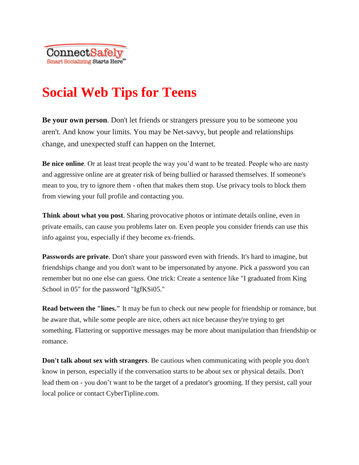# **Social Web Tips for Teens**

**Be your own person**. Don't let friends or strangers pressure you to be someone you aren't. And know your limits. You may be Net-savvy, but people and relationships change, and unexpected stuff can happen on the Internet.

**Be nice online**. Or at least treat people the way you'd want to be treated. People who are nasty and aggressive online are at greater risk of being bullied or harassed themselves. If someone's mean to you, try to ignore them - often that makes them stop. Use privacy tools to block them from viewing your full profile and contacting you.

**Think about what you post**. Sharing provocative photos or intimate details online, even in private emails, can cause you problems later on. Even people you consider friends can use this info against you, especially if they become ex-friends.

**Passwords are private**. Don't share your password even with friends. It's hard to imagine, but friendships change and you don't want to be impersonated by anyone. Pick a password you can remember but no one else can guess. One trick: Create a sentence like "I graduated from King School in 05" for the password "IgfKSi05."

**Read between the "lines."** It may be fun to check out new people for friendship or romance, but be aware that, while some people are nice, others act nice because they're trying to get something. Flattering or supportive messages may be more about manipulation than friendship or romance.

**Don't talk about sex with strangers**. Be cautious when communicating with people you don't know in person, especially if the conversation starts to be about sex or physical details. Don't lead them on - you don't want to be the target of a predator's grooming. If they persist, call your local police or contact CyberTipline.com.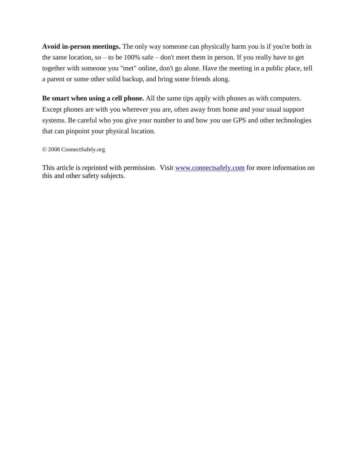**Avoid in-person meetings.** The only way someone can physically harm you is if you're both in the same location, so – to be 100% safe – don't meet them in person. If you really have to get together with someone you "met" online, don't go alone. Have the meeting in a public place, tell a parent or some other solid backup, and bring some friends along.

**Be smart when using a cell phone.** All the same tips apply with phones as with computers. Except phones are with you wherever you are, often away from home and your usual support systems. Be careful who you give your number to and how you use GPS and other technologies that can pinpoint your physical location.

#### © 2008 ConnectSafely.org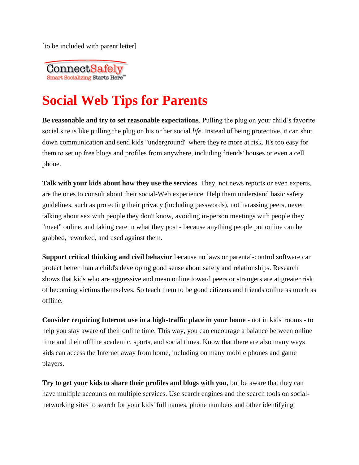

# **Social Web Tips for Parents**

**Be reasonable and try to set reasonable expectations**. Pulling the plug on your child's favorite social site is like pulling the plug on his or her social *life*. Instead of being protective, it can shut down communication and send kids "underground" where they're more at risk. It's too easy for them to set up free blogs and profiles from anywhere, including friends' houses or even a cell phone.

**Talk with your kids about how they use the services**. They, not news reports or even experts, are the ones to consult about their social-Web experience. Help them understand basic safety guidelines, such as protecting their privacy (including passwords), not harassing peers, never talking about sex with people they don't know, avoiding in-person meetings with people they "meet" online, and taking care in what they post - because anything people put online can be grabbed, reworked, and used against them.

**Support critical thinking and civil behavior** because no laws or parental-control software can protect better than a child's developing good sense about safety and relationships. Research shows that kids who are aggressive and mean online toward peers or strangers are at greater risk of becoming victims themselves. So teach them to be good citizens and friends online as much as offline.

**Consider requiring Internet use in a high-traffic place in your home** - not in kids' rooms - to help you stay aware of their online time. This way, you can encourage a balance between online time and their offline academic, sports, and social times. Know that there are also many ways kids can access the Internet away from home, including on many mobile phones and game players.

**Try to get your kids to share their profiles and blogs with you**, but be aware that they can have multiple accounts on multiple services. Use search engines and the search tools on socialnetworking sites to search for your kids' full names, phone numbers and other identifying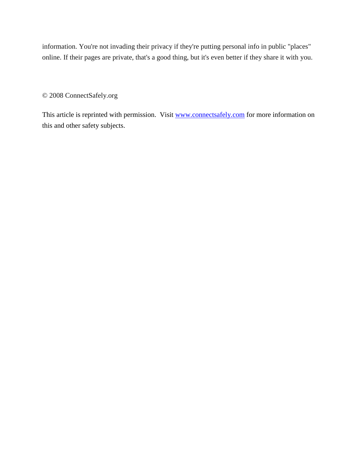information. You're not invading their privacy if they're putting personal info in public "places" online. If their pages are private, that's a good thing, but it's even better if they share it with you.

© 2008 ConnectSafely.org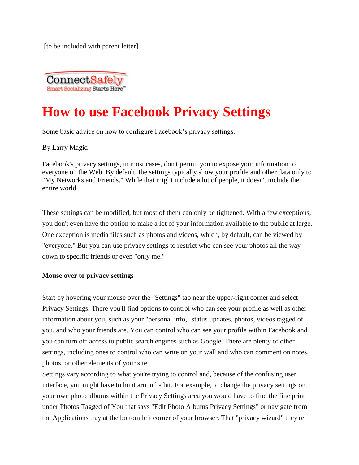

### **How to use Facebook Privacy Settings**

Some basic advice on how to configure Facebook's privacy settings.

By Larry Magid

Facebook's privacy settings, in most cases, don't permit you to expose your information to everyone on the Web. By default, the settings typically show your profile and other data only to "My Networks and Friends." While that might include a lot of people, it doesn't include the entire world.

These settings can be modified, but most of them can only be tightened. With a few exceptions, you don't even have the option to make a lot of your information available to the public at large. One exception is media files such as photos and videos, which, by default, can be viewed by "everyone." But you can use privacy settings to restrict who can see your photos all the way down to specific friends or even "only me."

### **Mouse over to privacy settings**

Start by hovering your mouse over the "Settings" tab near the upper-right corner and select Privacy Settings. There you'll find options to control who can see your profile as well as other information about you, such as your "personal info," status updates, photos, videos tagged of you, and who your friends are. You can control who can see your profile within Facebook and you can turn off access to public search engines such as Google. There are plenty of other settings, including ones to control who can write on your wall and who can comment on notes, photos, or other elements of your site.

Settings vary according to what you're trying to control and, because of the confusing user interface, you might have to hunt around a bit. For example, to change the privacy settings on your own photo albums within the Privacy Settings area you would have to find the fine print under Photos Tagged of You that says "Edit Photo Albums Privacy Settings" or navigate from the Applications tray at the bottom left corner of your browser. That "privacy wizard" they're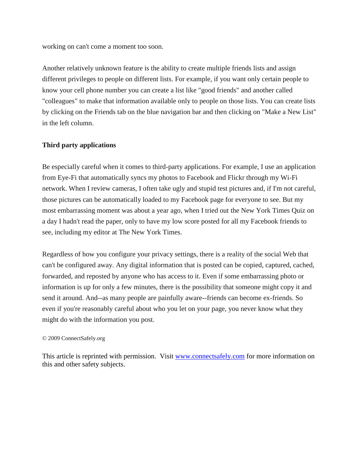working on can't come a moment too soon.

Another relatively unknown feature is the ability to create multiple friends lists and assign different privileges to people on different lists. For example, if you want only certain people to know your cell phone number you can create a list like "good friends" and another called "colleagues" to make that information available only to people on those lists. You can create lists by clicking on the Friends tab on the blue navigation bar and then clicking on "Make a New List" in the left column.

### **Third party applications**

Be especially careful when it comes to third-party applications. For example, I use an application from Eye-Fi that automatically syncs my photos to Facebook and Flickr through my Wi-Fi network. When I review cameras, I often take ugly and stupid test pictures and, if I'm not careful, those pictures can be automatically loaded to my Facebook page for everyone to see. But my most embarrassing moment was about a year ago, when I tried out the New York Times Quiz on a day I hadn't read the paper, only to have my low score posted for all my Facebook friends to see, including my editor at The New York Times.

Regardless of how you configure your privacy settings, there is a reality of the social Web that can't be configured away. Any digital information that is posted can be copied, captured, cached, forwarded, and reposted by anyone who has access to it. Even if some embarrassing photo or information is up for only a few minutes, there is the possibility that someone might copy it and send it around. And--as many people are painfully aware--friends can become ex-friends. So even if you're reasonably careful about who you let on your page, you never know what they might do with the information you post.

### © 2009 ConnectSafely.org

This article is reprinted with permission. Visit [www.connectsafely.com](http://www.connectsafely.com/) for more information on this and other safety subjects.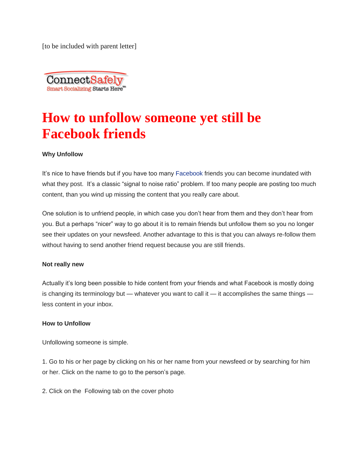

# **How to unfollow someone yet still be Facebook friends**

### **Why Unfollow**

It's nice to have friends but if you have too many [Facebook](http://www.forbes.com/facebook-ipo/) friends you can become inundated with what they post. It's a classic "signal to noise ratio" problem. If too many people are posting too much content, than you wind up missing the content that you really care about.

One solution is to unfriend people, in which case you don't hear from them and they don't hear from you. But a perhaps "nicer" way to go about it is to remain friends but unfollow them so you no longer see their updates on your newsfeed. Another advantage to this is that you can always re-follow them without having to send another friend request because you are still friends.

### **Not really new**

Actually it's long been possible to hide content from your friends and what Facebook is mostly doing is changing its terminology but — whatever you want to call it — it accomplishes the same things less content in your inbox.

### **How to Unfollow**

Unfollowing someone is simple.

1. Go to his or her page by clicking on his or her name from your newsfeed or by searching for him or her. Click on the name to go to the person's page.

2. Click on the Following tab on the cover photo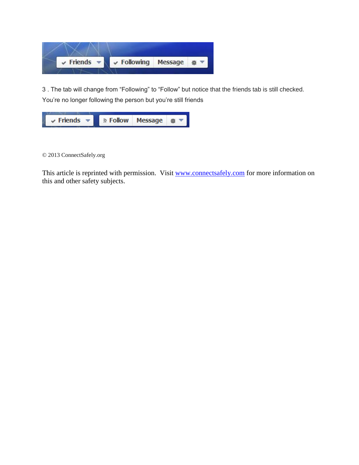

3 . The tab will change from "Following" to "Follow" but notice that the friends tab is still checked. You're no longer following the person but you're still friends



© 2013 ConnectSafely.org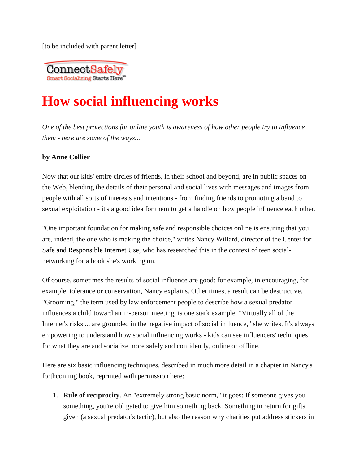

## **How social influencing works**

*One of the best protections for online youth is awareness of how other people try to influence them - here are some of the ways....*

### **by Anne Collier**

Now that our kids' entire circles of friends, in their school and beyond, are in public spaces on the Web, blending the details of their personal and social lives with messages and images from people with all sorts of interests and intentions - from finding friends to promoting a band to sexual exploitation - it's a good idea for them to get a handle on how people influence each other.

"One important foundation for making safe and responsible choices online is ensuring that you are, indeed, the one who is making the choice," writes Nancy Willard, director of the [Center for](http://www.csriu.org/)  [Safe and Responsible Internet Use,](http://www.csriu.org/) who has researched this in the context of teen socialnetworking for a book she's working on.

Of course, sometimes the results of social influence are good: for example, in encouraging, for example, tolerance or conservation, Nancy explains. Other times, a result can be destructive. "Grooming," the term used by law enforcement people to describe how a sexual predator influences a child toward an in-person meeting, is one stark example. "Virtually all of the Internet's risks ... are grounded in the negative impact of social influence," she writes. It's always empowering to understand how social influencing works - kids can see influencers' techniques for what they are and socialize more safely and confidently, online or offline.

Here are six basic influencing techniques, described in much more detail in a chapter in Nancy's forthcoming book, [reprinted with permission here:](http://www.netfamilynews.org/willard0605.html)

1. **Rule of reciprocity**. An "extremely strong basic norm," it goes: If someone gives you something, you're obligated to give him something back. Something in return for gifts given (a sexual predator's tactic), but also the reason why charities put address stickers in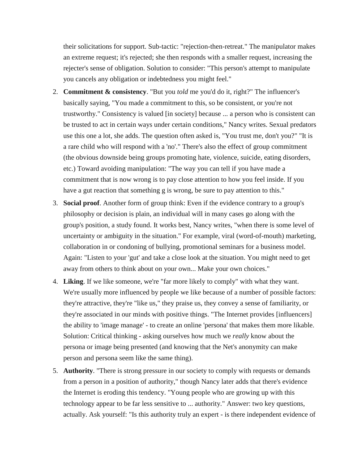their solicitations for support. Sub-tactic: "rejection-then-retreat." The manipulator makes an extreme request; it's rejected; she then responds with a smaller request, increasing the rejecter's sense of obligation. Solution to consider: "This person's attempt to manipulate you cancels any obligation or indebtedness you might feel."

- 2. **Commitment & consistency**. "But you *told* me you'd do it, right?" The influencer's basically saying, "You made a commitment to this, so be consistent, or you're not trustworthy." Consistency is valued [in society] because ... a person who is consistent can be trusted to act in certain ways under certain conditions," Nancy writes. Sexual predators use this one a lot, she adds. The question often asked is, "You trust me, don't you?" "It is a rare child who will respond with a 'no'." There's also the effect of group commitment (the obvious downside being groups promoting hate, violence, suicide, eating disorders, etc.) Toward avoiding manipulation: "The way you can tell if you have made a commitment that is now wrong is to pay close attention to how you feel inside. If you have a gut reaction that something g is wrong, be sure to pay attention to this."
- 3. **Social proof**. Another form of group think: Even if the evidence contrary to a group's philosophy or decision is plain, an individual will in many cases go along with the group's position, a study found. It works best, Nancy writes, "when there is some level of uncertainty or ambiguity in the situation." For example, viral (word-of-mouth) marketing, collaboration in or condoning of bullying, promotional seminars for a business model. Again: "Listen to your 'gut' and take a close look at the situation. You might need to get away from others to think about on your own... Make your own choices."
- 4. **Liking**. If we like someone, we're "far more likely to comply" with what they want. We're usually more influenced by people we like because of a number of possible factors: they're attractive, they're "like us," they praise us, they convey a sense of familiarity, or they're associated in our minds with positive things. "The Internet provides [influencers] the ability to 'image manage' - to create an online 'persona' that makes them more likable. Solution: Critical thinking - asking ourselves how much we *really* know about the persona or image being presented (and knowing that the Net's anonymity can make person and persona seem like the same thing).
- 5. **Authority**. "There is strong pressure in our society to comply with requests or demands from a person in a position of authority," though Nancy later adds that there's evidence the Internet is eroding this tendency. "Young people who are growing up with this technology appear to be far less sensitive to ... authority." Answer: two key questions, actually. Ask yourself: "Is this authority truly an expert - is there independent evidence of